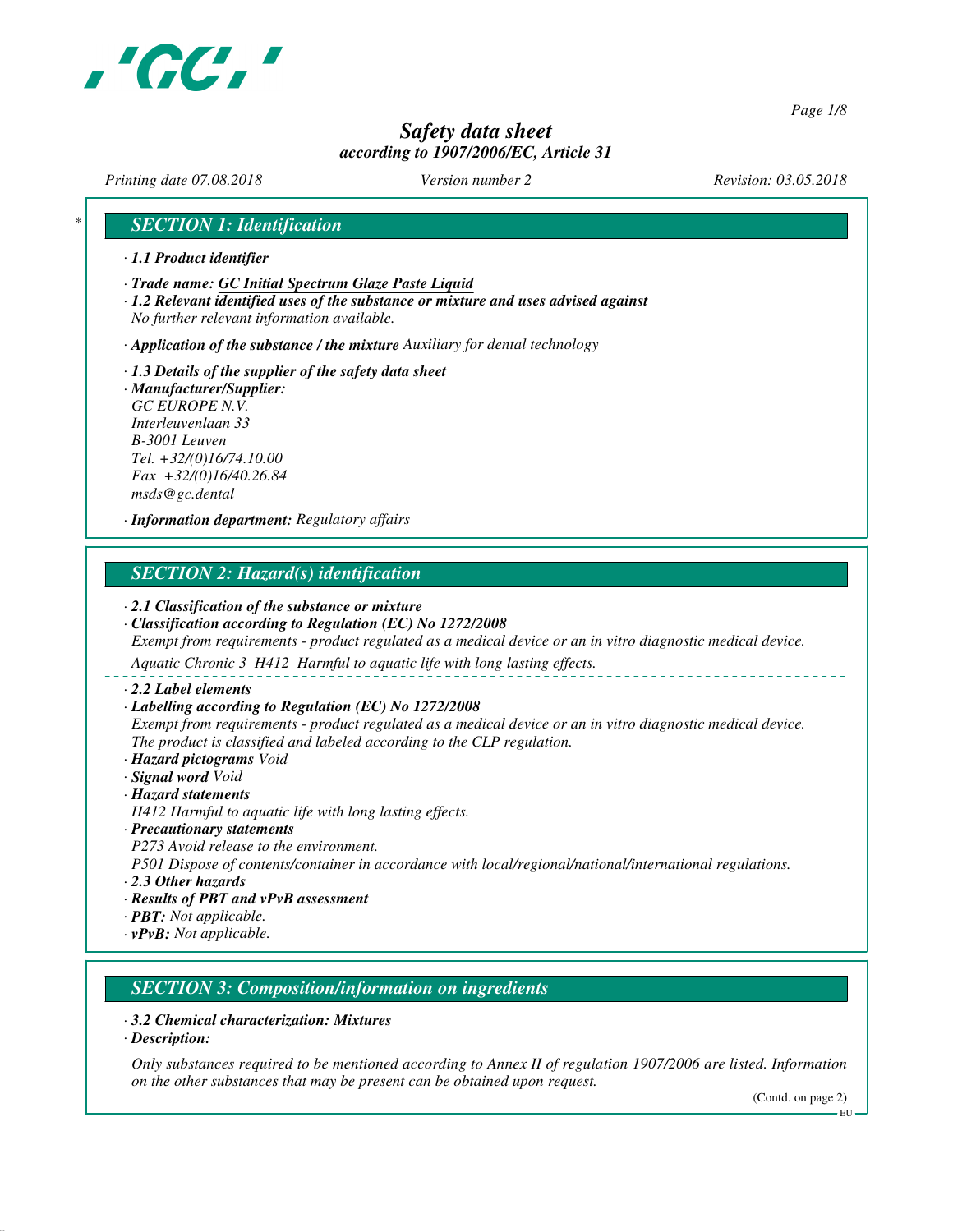

*Page 1/8*

# *Safety data sheet according to 1907/2006/EC, Article 31*

*Printing date 07.08.2018 Version number 2 Revision: 03.05.2018*

# *\* SECTION 1: Identification*

- *· 1.1 Product identifier*
- *· Trade name: GC Initial Spectrum Glaze Paste Liquid*
- *· 1.2 Relevant identified uses of the substance or mixture and uses advised against No further relevant information available.*

*· Application of the substance / the mixture Auxiliary for dental technology*

- *· 1.3 Details of the supplier of the safety data sheet · Manufacturer/Supplier:*
- *GC EUROPE N.V. Interleuvenlaan 33 B-3001 Leuven Tel. +32/(0)16/74.10.00 Fax +32/(0)16/40.26.84 msds@gc.dental*

*· Information department: Regulatory affairs*

# *SECTION 2: Hazard(s) identification*

#### *· 2.1 Classification of the substance or mixture*

*· Classification according to Regulation (EC) No 1272/2008 Exempt from requirements - product regulated as a medical device or an in vitro diagnostic medical device.*

*Aquatic Chronic 3 H412 Harmful to aquatic life with long lasting effects.*

- *· 2.2 Label elements*
- *· Labelling according to Regulation (EC) No 1272/2008*

*Exempt from requirements - product regulated as a medical device or an in vitro diagnostic medical device. The product is classified and labeled according to the CLP regulation.*

- *· Hazard pictograms Void*
- *· Signal word Void*

### *· Hazard statements*

*H412 Harmful to aquatic life with long lasting effects.*

#### *· Precautionary statements*

*P273 Avoid release to the environment.*

*P501 Dispose of contents/container in accordance with local/regional/national/international regulations.*

- *· 2.3 Other hazards*
- *· Results of PBT and vPvB assessment*
- *· PBT: Not applicable.*
- *· vPvB: Not applicable.*

# *SECTION 3: Composition/information on ingredients*

#### *· 3.2 Chemical characterization: Mixtures*

*· Description:*

*Only substances required to be mentioned according to Annex II of regulation 1907/2006 are listed. Information on the other substances that may be present can be obtained upon request.*

(Contd. on page 2)

EU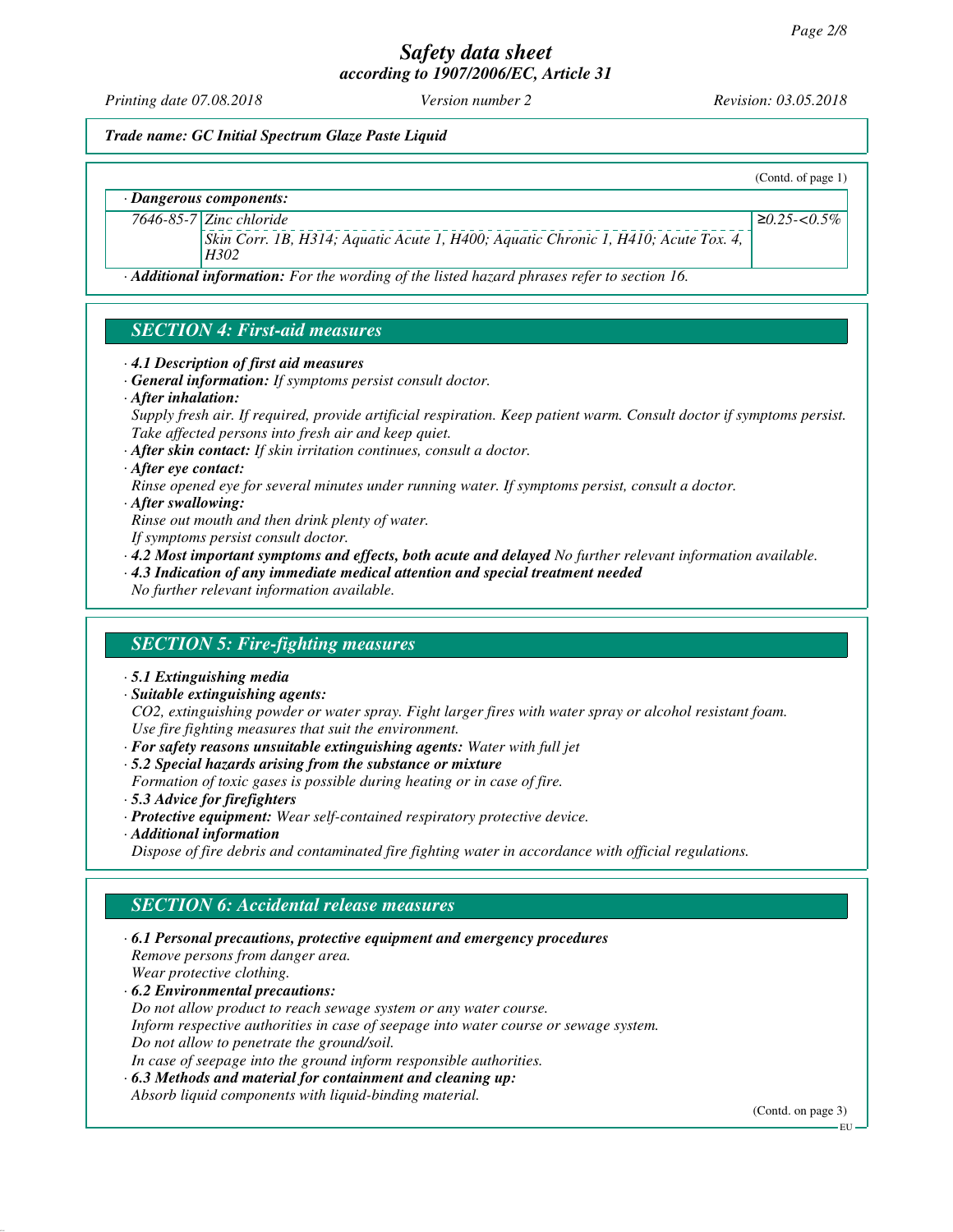*Printing date 07.08.2018 Version number 2 Revision: 03.05.2018*

(Contd. of page 1)

≥*0.25-<0.5%*

*Trade name: GC Initial Spectrum Glaze Paste Liquid*

*· Dangerous components:*

*7646-85-7 Zinc chloride*

*Skin Corr. 1B, H314; Aquatic Acute 1, H400; Aquatic Chronic 1, H410; Acute Tox. 4, H302*

*· Additional information: For the wording of the listed hazard phrases refer to section 16.*

# *SECTION 4: First-aid measures*

- *· 4.1 Description of first aid measures*
- *· General information: If symptoms persist consult doctor.*
- *· After inhalation:*

*Supply fresh air. If required, provide artificial respiration. Keep patient warm. Consult doctor if symptoms persist. Take affected persons into fresh air and keep quiet.*

*· After skin contact: If skin irritation continues, consult a doctor.*

- *· After eye contact:*
- *Rinse opened eye for several minutes under running water. If symptoms persist, consult a doctor.*

*· After swallowing:*

*Rinse out mouth and then drink plenty of water.*

- *If symptoms persist consult doctor.*
- *· 4.2 Most important symptoms and effects, both acute and delayed No further relevant information available.*
- *· 4.3 Indication of any immediate medical attention and special treatment needed*

*No further relevant information available.*

### *SECTION 5: Fire-fighting measures*

- *· 5.1 Extinguishing media*
- *· Suitable extinguishing agents:*

*CO2, extinguishing powder or water spray. Fight larger fires with water spray or alcohol resistant foam. Use fire fighting measures that suit the environment.*

*· For safety reasons unsuitable extinguishing agents: Water with full jet*

*· 5.2 Special hazards arising from the substance or mixture Formation of toxic gases is possible during heating or in case of fire.*

- *· 5.3 Advice for firefighters*
- *· Protective equipment: Wear self-contained respiratory protective device.*
- *· Additional information*

*Dispose of fire debris and contaminated fire fighting water in accordance with official regulations.*

### *SECTION 6: Accidental release measures*

*· 6.1 Personal precautions, protective equipment and emergency procedures Remove persons from danger area. Wear protective clothing. · 6.2 Environmental precautions: Do not allow product to reach sewage system or any water course. Inform respective authorities in case of seepage into water course or sewage system.*

*Do not allow to penetrate the ground/soil. In case of seepage into the ground inform responsible authorities.*

- *· 6.3 Methods and material for containment and cleaning up:*
- *Absorb liquid components with liquid-binding material.*

(Contd. on page 3)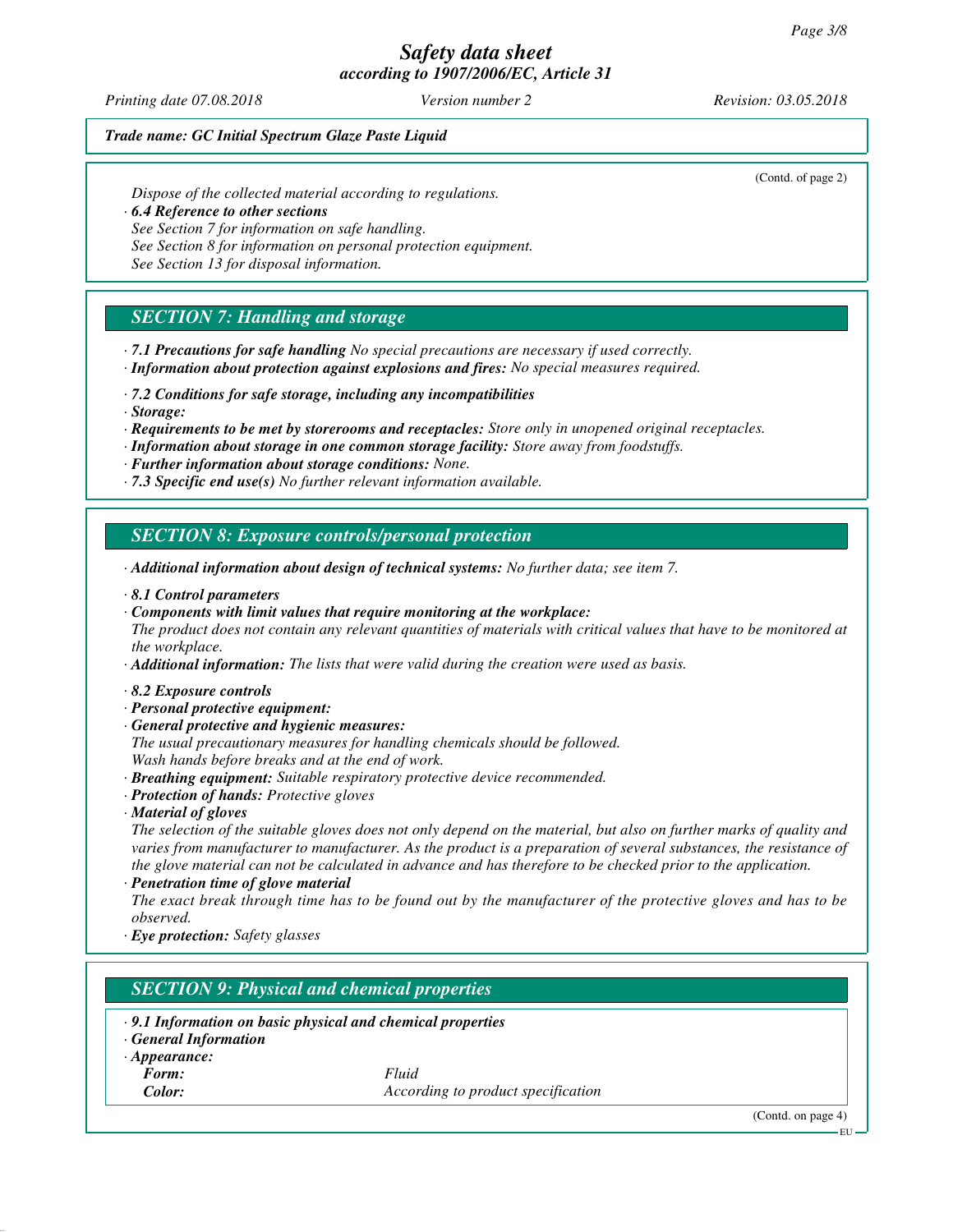*Printing date 07.08.2018 Version number 2 Revision: 03.05.2018*

(Contd. of page 2)

#### *Trade name: GC Initial Spectrum Glaze Paste Liquid*

*Dispose of the collected material according to regulations.*

*· 6.4 Reference to other sections*

*See Section 7 for information on safe handling.*

*See Section 8 for information on personal protection equipment.*

*See Section 13 for disposal information.*

# *SECTION 7: Handling and storage*

- *· 7.1 Precautions for safe handling No special precautions are necessary if used correctly.*
- *· Information about protection against explosions and fires: No special measures required.*
- *· 7.2 Conditions for safe storage, including any incompatibilities*
- *· Storage:*
- *· Requirements to be met by storerooms and receptacles: Store only in unopened original receptacles.*
- *· Information about storage in one common storage facility: Store away from foodstuffs.*
- *· Further information about storage conditions: None.*
- *· 7.3 Specific end use(s) No further relevant information available.*

# *SECTION 8: Exposure controls/personal protection*

- *· Additional information about design of technical systems: No further data; see item 7.*
- *· 8.1 Control parameters*
- *· Components with limit values that require monitoring at the workplace:*
- *The product does not contain any relevant quantities of materials with critical values that have to be monitored at the workplace.*

*· Additional information: The lists that were valid during the creation were used as basis.*

- *· 8.2 Exposure controls*
- *· Personal protective equipment:*
- *· General protective and hygienic measures:*
- *The usual precautionary measures for handling chemicals should be followed. Wash hands before breaks and at the end of work.*
- *· Breathing equipment: Suitable respiratory protective device recommended.*
- *· Protection of hands: Protective gloves*
- *· Material of gloves*

*The selection of the suitable gloves does not only depend on the material, but also on further marks of quality and varies from manufacturer to manufacturer. As the product is a preparation of several substances, the resistance of the glove material can not be calculated in advance and has therefore to be checked prior to the application.*

*· Penetration time of glove material*

*The exact break through time has to be found out by the manufacturer of the protective gloves and has to be observed.*

*· Eye protection: Safety glasses*

# *SECTION 9: Physical and chemical properties*

- *· 9.1 Information on basic physical and chemical properties*
- *· General Information*
- *· Appearance:*
	-

*Form: Fluid Color: According to product specification*

(Contd. on page 4)

EU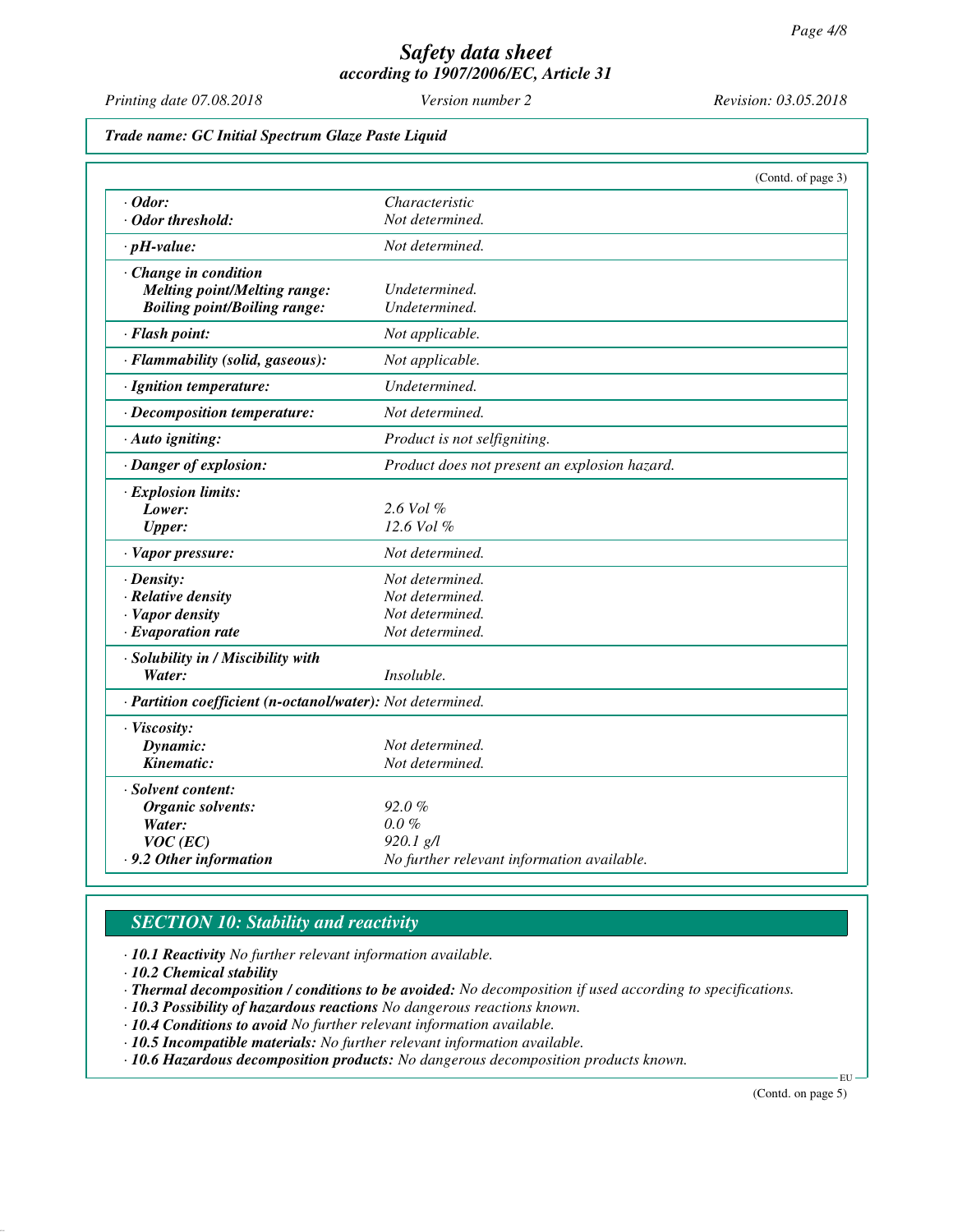*Printing date 07.08.2018 Version number 2 Revision: 03.05.2018*

*Trade name: GC Initial Spectrum Glaze Paste Liquid*

|                                                            |                                               | (Contd. of page 3) |
|------------------------------------------------------------|-----------------------------------------------|--------------------|
| $\cdot$ Odor:                                              | Characteristic                                |                    |
| · Odor threshold:                                          | Not determined.                               |                    |
| $\cdot$ pH-value:                                          | Not determined.                               |                    |
| Change in condition                                        |                                               |                    |
| <b>Melting point/Melting range:</b>                        | Undetermined.                                 |                    |
| <b>Boiling point/Boiling range:</b>                        | Undetermined.                                 |                    |
| · Flash point:                                             | Not applicable.                               |                    |
| · Flammability (solid, gaseous):                           | Not applicable.                               |                    |
| · Ignition temperature:                                    | Undetermined.                                 |                    |
| · Decomposition temperature:                               | Not determined.                               |                    |
| · Auto igniting:                                           | Product is not selfigniting.                  |                    |
| · Danger of explosion:                                     | Product does not present an explosion hazard. |                    |
| · Explosion limits:                                        |                                               |                    |
| Lower:                                                     | 2.6 Vol %                                     |                    |
| <b>Upper:</b>                                              | 12.6 Vol %                                    |                    |
| · Vapor pressure:                                          | Not determined.                               |                    |
| $\cdot$ Density:                                           | Not determined.                               |                    |
| $\cdot$ Relative density                                   | Not determined.                               |                    |
| · Vapor density                                            | Not determined.                               |                    |
| $\cdot$ Evaporation rate                                   | Not determined.                               |                    |
| · Solubility in / Miscibility with                         |                                               |                    |
| Water:                                                     | Insoluble.                                    |                    |
| · Partition coefficient (n-octanol/water): Not determined. |                                               |                    |
| · Viscosity:                                               |                                               |                    |
| Dynamic:                                                   | Not determined.                               |                    |
| Kinematic:                                                 | Not determined.                               |                    |
| · Solvent content:                                         |                                               |                    |
| Organic solvents:                                          | $92.0\%$                                      |                    |
| Water:                                                     | $0.0 \%$                                      |                    |
| $VOC$ (EC)                                                 | $920.1$ g/l                                   |                    |
| .9.2 Other information                                     | No further relevant information available.    |                    |

# *SECTION 10: Stability and reactivity*

*· 10.1 Reactivity No further relevant information available.*

*· 10.2 Chemical stability*

*· Thermal decomposition / conditions to be avoided: No decomposition if used according to specifications.*

*· 10.3 Possibility of hazardous reactions No dangerous reactions known.*

*· 10.4 Conditions to avoid No further relevant information available.*

*· 10.5 Incompatible materials: No further relevant information available.*

*· 10.6 Hazardous decomposition products: No dangerous decomposition products known.*

(Contd. on page 5)

EU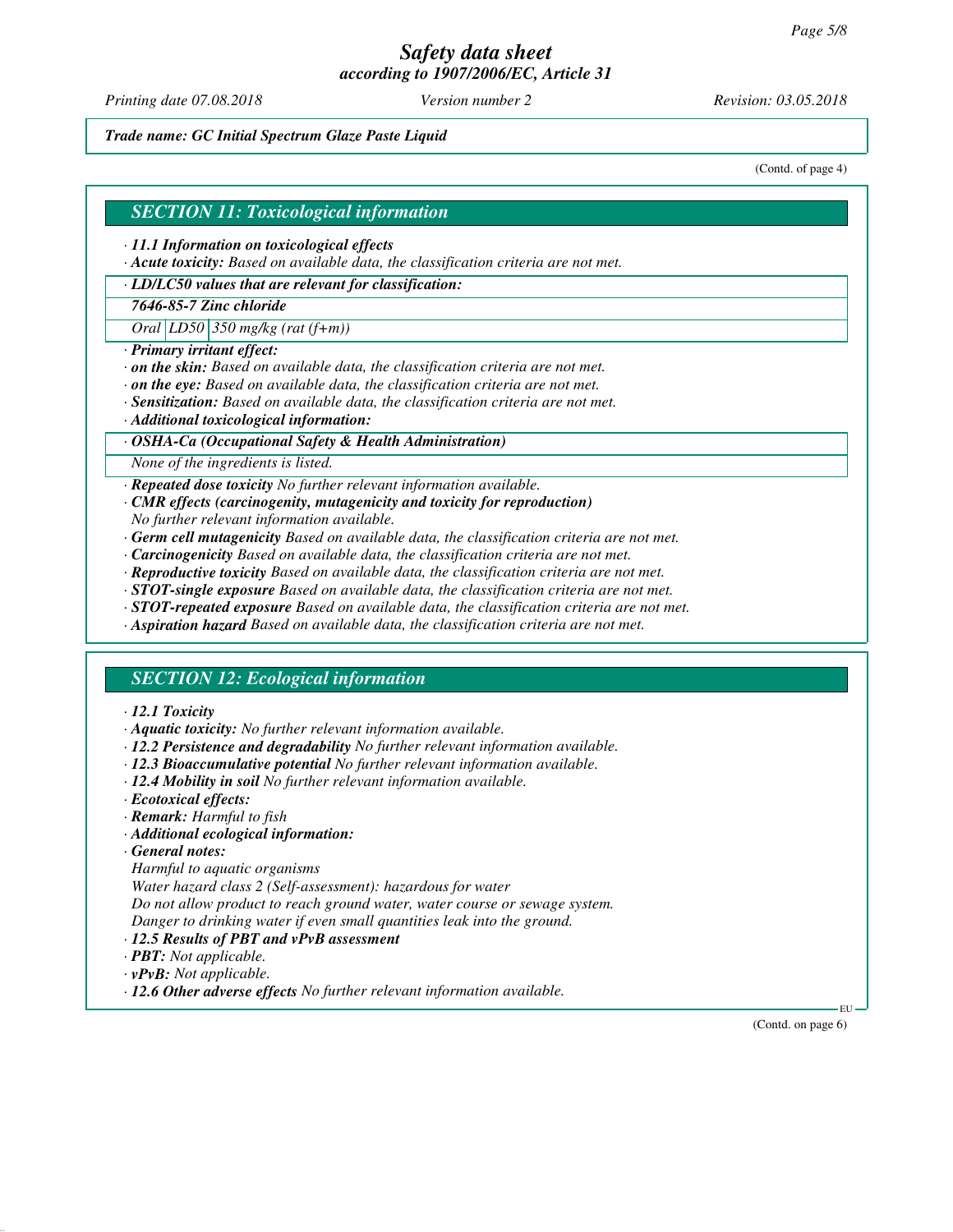*Printing date 07.08.2018 Version number 2 Revision: 03.05.2018*

*Trade name: GC Initial Spectrum Glaze Paste Liquid*

(Contd. of page 4)

#### *SECTION 11: Toxicological information*

*· 11.1 Information on toxicological effects*

*· Acute toxicity: Based on available data, the classification criteria are not met.*

### *· LD/LC50 values that are relevant for classification:*

*7646-85-7 Zinc chloride*

*Oral LD50 350 mg/kg (rat (f+m))*

- *· Primary irritant effect:*
- *· on the skin: Based on available data, the classification criteria are not met.*
- *· on the eye: Based on available data, the classification criteria are not met.*
- *· Sensitization: Based on available data, the classification criteria are not met.*
- *· Additional toxicological information:*

#### *· OSHA-Ca (Occupational Safety & Health Administration)*

*None of the ingredients is listed.*

*· Repeated dose toxicity No further relevant information available.*

- *· CMR effects (carcinogenity, mutagenicity and toxicity for reproduction) No further relevant information available.*
- *· Germ cell mutagenicity Based on available data, the classification criteria are not met.*
- *· Carcinogenicity Based on available data, the classification criteria are not met.*
- *· Reproductive toxicity Based on available data, the classification criteria are not met.*
- *· STOT-single exposure Based on available data, the classification criteria are not met.*
- *· STOT-repeated exposure Based on available data, the classification criteria are not met.*
- *· Aspiration hazard Based on available data, the classification criteria are not met.*

### *SECTION 12: Ecological information*

#### *· 12.1 Toxicity*

- *· Aquatic toxicity: No further relevant information available.*
- *· 12.2 Persistence and degradability No further relevant information available.*
- *· 12.3 Bioaccumulative potential No further relevant information available.*
- *· 12.4 Mobility in soil No further relevant information available.*
- *· Ecotoxical effects:*
- *· Remark: Harmful to fish*
- *· Additional ecological information:*
- *· General notes:*
- *Harmful to aquatic organisms*

*Water hazard class 2 (Self-assessment): hazardous for water*

*Do not allow product to reach ground water, water course or sewage system.*

- *Danger to drinking water if even small quantities leak into the ground.*
- *· 12.5 Results of PBT and vPvB assessment*
- *· PBT: Not applicable.*
- *· vPvB: Not applicable.*
- *· 12.6 Other adverse effects No further relevant information available.*

(Contd. on page 6)

EU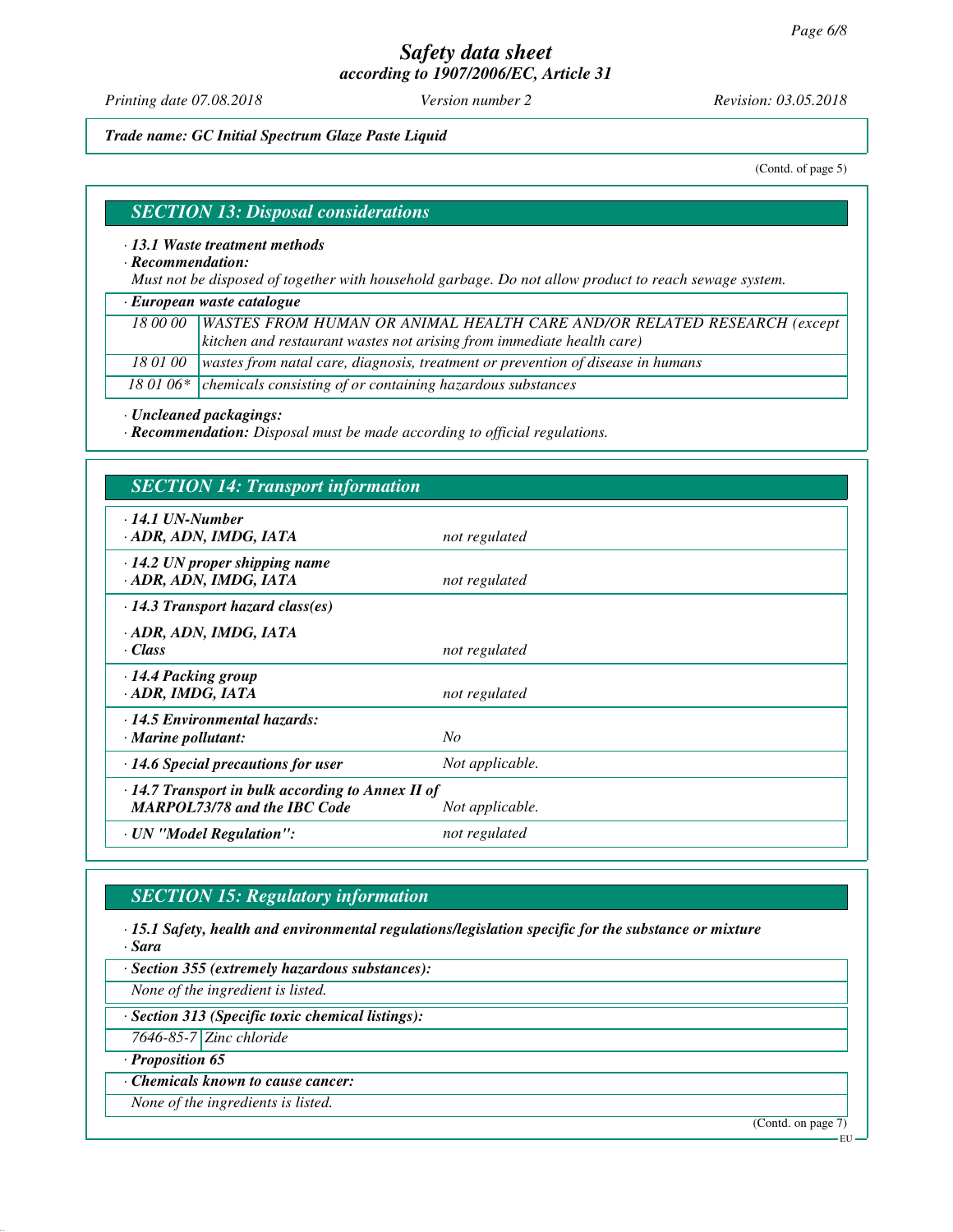*Printing date 07.08.2018 Version number 2 Revision: 03.05.2018*

*Trade name: GC Initial Spectrum Glaze Paste Liquid*

(Contd. of page 5)

#### *SECTION 13: Disposal considerations*

*· 13.1 Waste treatment methods*

*· Recommendation:*

*Must not be disposed of together with household garbage. Do not allow product to reach sewage system.*

*· European waste catalogue*

*18 00 00 WASTES FROM HUMAN OR ANIMAL HEALTH CARE AND/OR RELATED RESEARCH (except kitchen and restaurant wastes not arising from immediate health care)*

*18 01 00 wastes from natal care, diagnosis, treatment or prevention of disease in humans*

18 01 06\* chemicals consisting of or containing hazardous substances

*· Uncleaned packagings:*

*· Recommendation: Disposal must be made according to official regulations.*

| <b>SECTION 14: Transport information</b>                                                       |                 |
|------------------------------------------------------------------------------------------------|-----------------|
| $\cdot$ 14.1 UN-Number<br>· ADR, ADN, IMDG, IATA                                               | not regulated   |
| $\cdot$ 14.2 UN proper shipping name<br>· ADR, ADN, IMDG, IATA                                 | not regulated   |
| $\cdot$ 14.3 Transport hazard class(es)                                                        |                 |
| · ADR, ADN, IMDG, IATA<br>· Class                                                              | not regulated   |
| 14.4 Packing group<br>· ADR, IMDG, IATA                                                        | not regulated   |
| $\cdot$ 14.5 Environmental hazards:<br>· Marine pollutant:                                     | N <sub>O</sub>  |
| $\cdot$ 14.6 Special precautions for user                                                      | Not applicable. |
| $\cdot$ 14.7 Transport in bulk according to Annex II of<br><b>MARPOL73/78 and the IBC Code</b> | Not applicable. |
| · UN "Model Regulation":                                                                       | not regulated   |

# *SECTION 15: Regulatory information*

*· 15.1 Safety, health and environmental regulations/legislation specific for the substance or mixture · Sara*

*· Section 355 (extremely hazardous substances):*

*None of the ingredient is listed.*

*· Section 313 (Specific toxic chemical listings):*

*7646-85-7 Zinc chloride*

*· Proposition 65*

*· Chemicals known to cause cancer:*

*None of the ingredients is listed.*

(Contd. on page 7)

EU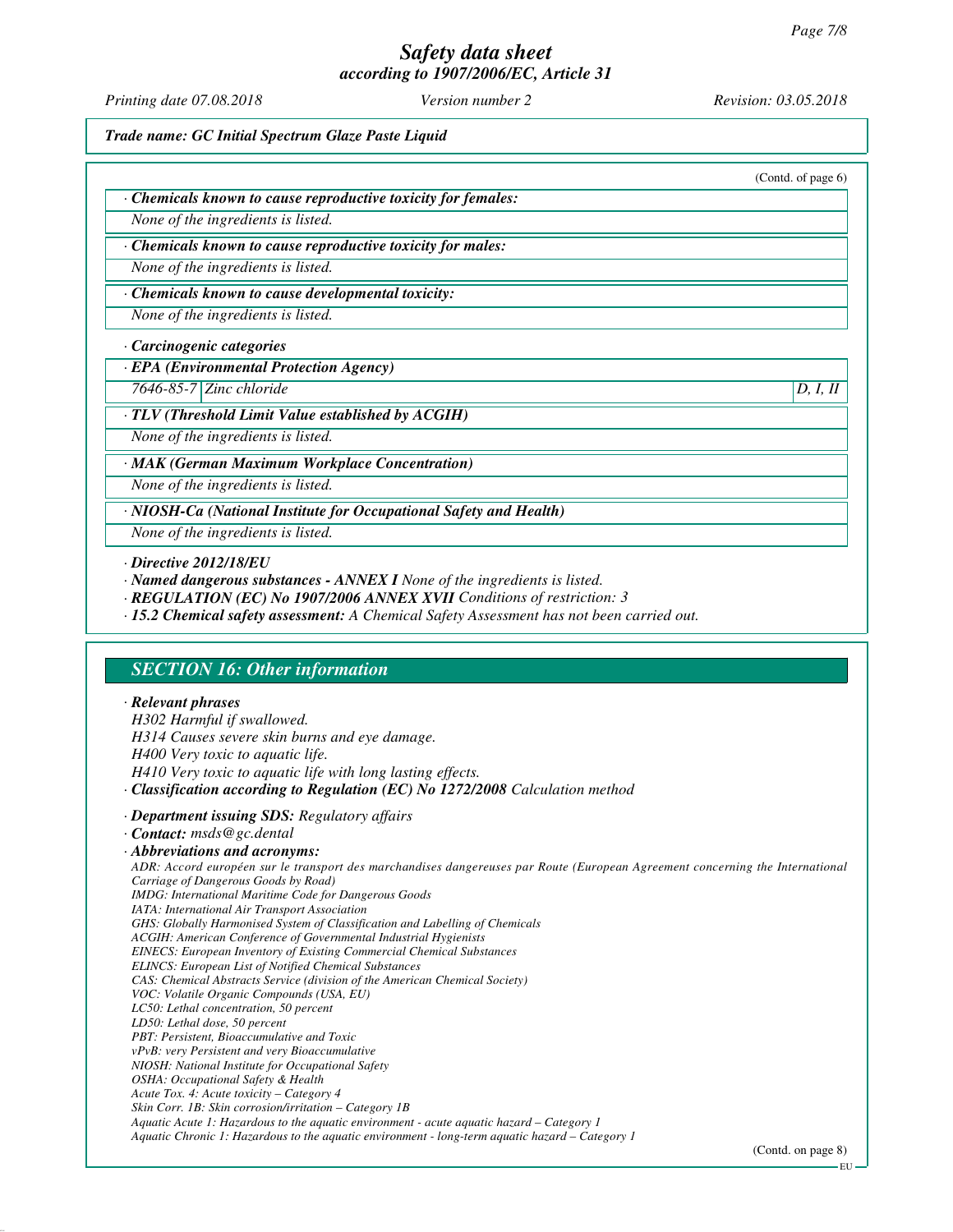# *Safety data sheet*

*according to 1907/2006/EC, Article 31*

*Printing date 07.08.2018 Version number 2 Revision: 03.05.2018*

*Trade name: GC Initial Spectrum Glaze Paste Liquid*

|                                                               | (Contd. of page 6) |
|---------------------------------------------------------------|--------------------|
| · Chemicals known to cause reproductive toxicity for females: |                    |
| None of the ingredients is listed.                            |                    |
| · Chemicals known to cause reproductive toxicity for males:   |                    |
| None of the ingredients is listed.                            |                    |
| Chemicals known to cause developmental toxicity:              |                    |
| None of the ingredients is listed.                            |                    |

#### *· Carcinogenic categories*

#### *· EPA (Environmental Protection Agency)*

*7646-85-7 Zinc chloride D, I, II*

#### *· TLV (Threshold Limit Value established by ACGIH)*

*None of the ingredients is listed.*

#### *· MAK (German Maximum Workplace Concentration)*

*None of the ingredients is listed.*

*· NIOSH-Ca (National Institute for Occupational Safety and Health)*

*None of the ingredients is listed.*

- *· Named dangerous substances ANNEX I None of the ingredients is listed.*
- *· REGULATION (EC) No 1907/2006 ANNEX XVII Conditions of restriction: 3*
- *· 15.2 Chemical safety assessment: A Chemical Safety Assessment has not been carried out.*

# *SECTION 16: Other information*

#### *· Relevant phrases*

*H302 Harmful if swallowed. H314 Causes severe skin burns and eye damage. H400 Very toxic to aquatic life. H410 Very toxic to aquatic life with long lasting effects. · Classification according to Regulation (EC) No 1272/2008 Calculation method*

*· Department issuing SDS: Regulatory affairs*

#### *· Contact: msds@gc.dental*

*· Abbreviations and acronyms: ADR: Accord européen sur le transport des marchandises dangereuses par Route (European Agreement concerning the International Carriage of Dangerous Goods by Road) IMDG: International Maritime Code for Dangerous Goods IATA: International Air Transport Association GHS: Globally Harmonised System of Classification and Labelling of Chemicals ACGIH: American Conference of Governmental Industrial Hygienists EINECS: European Inventory of Existing Commercial Chemical Substances ELINCS: European List of Notified Chemical Substances CAS: Chemical Abstracts Service (division of the American Chemical Society) VOC: Volatile Organic Compounds (USA, EU) LC50: Lethal concentration, 50 percent LD50: Lethal dose, 50 percent PBT: Persistent, Bioaccumulative and Toxic vPvB: very Persistent and very Bioaccumulative NIOSH: National Institute for Occupational Safety OSHA: Occupational Safety & Health Acute Tox. 4: Acute toxicity – Category 4 Skin Corr. 1B: Skin corrosion/irritation – Category 1B Aquatic Acute 1: Hazardous to the aquatic environment - acute aquatic hazard – Category 1 Aquatic Chronic 1: Hazardous to the aquatic environment - long-term aquatic hazard – Category 1*

*<sup>·</sup> Directive 2012/18/EU*